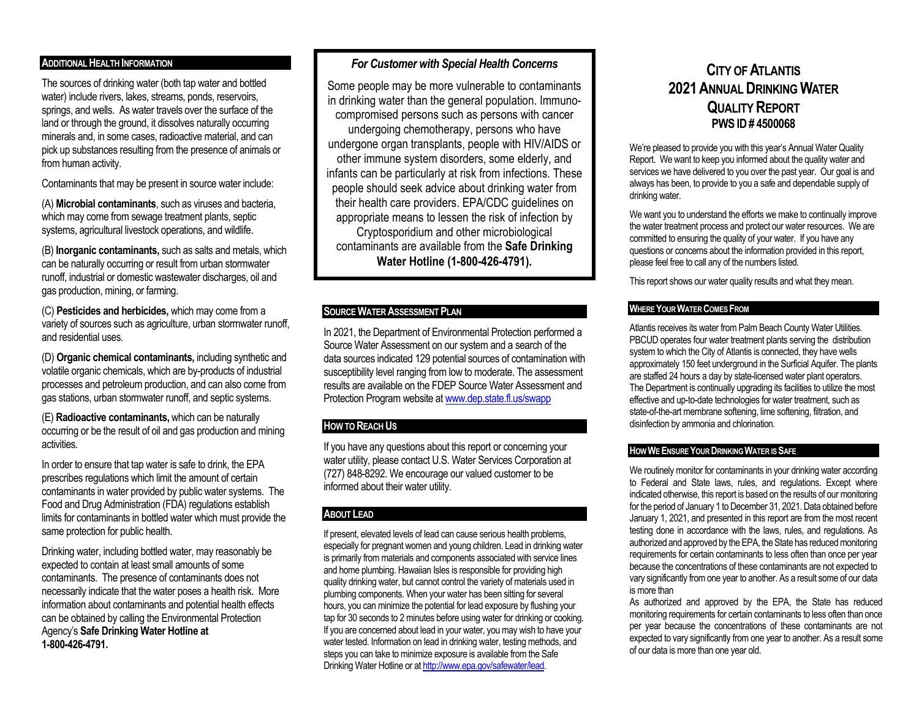# **ADDITIONAL HEALTH INFORMATION**

The sources of drinking water (both tap water and bottled water) include rivers, lakes, streams, ponds, reservoirs, springs, and wells. As water travels over the surface of the land or through the ground, it dissolves naturally occurring minerals and, in some cases, radioactive material, and can pick up substances resulting from the presence of animals or from human activity.

Contaminants that may be present in source water include:

(A) **Microbial contaminants**, such as viruses and bacteria, which may come from sewage treatment plants, septic systems, agricultural livestock operations, and wildlife.

(B) **Inorganic contaminants,** such as salts and metals, which can be naturally occurring or result from urban stormwater runoff, industrial or domestic wastewater discharges, oil and gas production, mining, or farming.

(C) **Pesticides and herbicides,** which may come from a variety of sources such as agriculture, urban stormwater runoff, and residential uses.

(D) **Organic chemical contaminants,** including synthetic and volatile organic chemicals, which are by-products of industrial processes and petroleum production, and can also come from gas stations, urban stormwater runoff, and septic systems.

(E) **Radioactive contaminants,** which can be naturally occurring or be the result of oil and gas production and mining activities.

In order to ensure that tap water is safe to drink, the EPA prescribes regulations which limit the amount of certain contaminants in water provided by public water systems. The Food and Drug Administration (FDA) regulations establish limits for contaminants in bottled water which must provide the same protection for public health.

Drinking water, including bottled water, may reasonably be expected to contain at least small amounts of some contaminants. The presence of contaminants does not necessarily indicate that the water poses a health risk. More information about contaminants and potential health effects can be obtained by calling the Environmental Protection Agency's **Safe Drinking Water Hotline at 1-800-426-4791.**

# *For Customer with Special Health Concerns*

Some people may be more vulnerable to contaminants in drinking water than the general population. Immunocompromised persons such as persons with cancer undergoing chemotherapy, persons who have undergone organ transplants, people with HIV/AIDS or other immune system disorders, some elderly, and infants can be particularly at risk from infections. These people should seek advice about drinking water from their health care providers. EPA/CDC guidelines on appropriate means to lessen the risk of infection by Cryptosporidium and other microbiological contaminants are available from the **Safe Drinking Water Hotline (1-800-426-4791).**

### **SOURCE WATER ASSESSMENT PLAN**

In 2021, the Department of Environmental Protection performed a Source Water Assessment on our system and a search of the data sources indicated 129 potential sources of contamination with susceptibility level ranging from low to moderate. The assessment results are available on the FDEP Source Water Assessment and Protection Program website a[t www.dep.state.fl.us/swapp](http://www.dep.state.fl.us/swapp)

# **HOW TO REACH US**

If you have any questions about this report or concerning your water utility, please contact U.S. Water Services Corporation at (727) 848-8292. We encourage our valued customer to be informed about their water utility.

# **ABOUT LEAD**

If present, elevated levels of lead can cause serious health problems, especially for pregnant women and young children. Lead in drinking water is primarily from materials and components associated with service lines and home plumbing. Hawaiian Isles is responsible for providing high quality drinking water, but cannot control the variety of materials used in plumbing components. When your water has been sitting for several hours, you can minimize the potential for lead exposure by flushing your tap for 30 seconds to 2 minutes before using water for drinking or cooking. If you are concerned about lead in your water, you may wish to have your water tested. Information on lead in drinking water, testing methods, and steps you can take to minimize exposure is available from the Safe Drinking Water Hotline or a[t http://www.epa.gov/safewater/lead.](http://www.epa.gov/safewater/lead) 

# **CITY OF ATLANTIS 2021ANNUAL DRINKING WATER QUALITY REPORT PWS ID# 4500068**

We're pleased to provide you with this year's Annual Water Quality Report. We want to keep you informed about the quality water and services we have delivered to you over the past year. Our goal is and always has been, to provide to you a safe and dependable supply of drinking water.

We want you to understand the efforts we make to continually improve the water treatment process and protect our water resources. We are committed to ensuring the quality of your water. If you have any questions or concerns about the information provided in this report, please feel free to call any of the numbers listed.

This report shows our water quality results and what they mean.

# **WHERE YOUR WATER COMES FROM**

Atlantis receives its water from Palm Beach County Water Utilities. PBCUD operates four water treatment plants serving the distribution system to which the City of Atlantis is connected, they have wells approximately 150 feet underground in the Surficial Aquifer. The plants are staffed 24 hours a day by state-licensed water plant operators. The Department is continually upgrading its facilities to utilize the most effective and up-to-date technologies for water treatment, such as state-of-the-art membrane softening, lime softening, filtration, and disinfection by ammonia and chlorination.

#### **HOW WE ENSURE YOUR DRINKING WATER IS SAFE**

We routinely monitor for contaminants in your drinking water according to Federal and State laws, rules, and regulations. Except where indicated otherwise, this report is based on the results of our monitoring for the period of January 1 to December 31, 2021. Data obtained before January 1, 2021, and presented in this report are from the most recent testing done in accordance with the laws, rules, and regulations. As authorized and approved by the EPA, the State has reduced monitoring requirements for certain contaminants to less often than once per year because the concentrations of these contaminants are not expected to vary significantly from one year to another. As a result some of our data is more than

As authorized and approved by the EPA, the State has reduced monitoring requirements for certain contaminants to less often than once per year because the concentrations of these contaminants are not expected to vary significantly from one year to another. As a result some of our data is more than one year old.